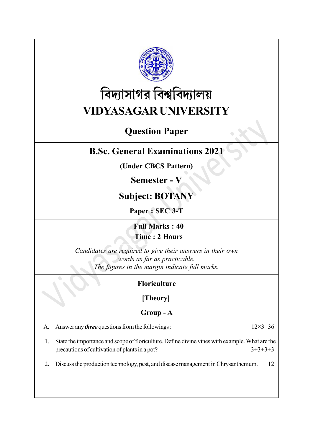

# বিদ্যাসাগর বিশ্ববিদ্যালয় VIDYASAGAR UNIVERSITY

## Question Paper

### B.Sc. General Examinations 2021

(Under CBCS Pattern)

### Semester - V

### Subject: BOTANY

Paper : SEC 3-T

Full Marks : 40 Time : 2 Hours

Candidates are required to give their answers in their own words as far as practicable. The figures in the margin indicate full marks.

### Floriculture

#### [Theory]

### Group - A

| A. Answer any <i>three</i> questions from the followings : | $12 \times 3 = 36$ |
|------------------------------------------------------------|--------------------|
|                                                            |                    |

- 1. State the importance and scope of floriculture. Define divine vines with example. What are the precautions of cultivation of plants in a pot?  $3+3+3+3$
- 2. Discuss the production technology, pest, and disease management in Chrysanthemum. 12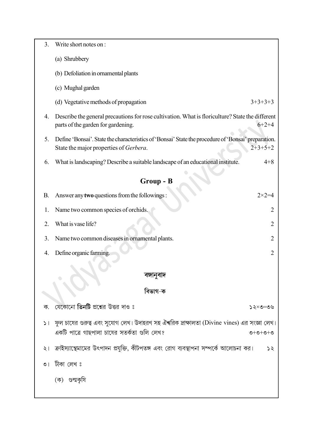| 3.        | Write short notes on:                                                                                                                                         |  |  |  |  |
|-----------|---------------------------------------------------------------------------------------------------------------------------------------------------------------|--|--|--|--|
|           | (a) Shrubbery                                                                                                                                                 |  |  |  |  |
|           | (b) Defoliation in ornamental plants                                                                                                                          |  |  |  |  |
|           | (c) Mughal garden                                                                                                                                             |  |  |  |  |
|           | (d) Vegetative methods of propagation<br>$3+3+3+3$                                                                                                            |  |  |  |  |
| 4.        | Describe the general precautions for rose cultivation. What is floriculture? State the different<br>parts of the garden for gardening.<br>$6+2+4$             |  |  |  |  |
| 5.        | Define 'Bonsai'. State the characteristics of 'Bonsai' State the procedure of 'Bonsai' preparation.<br>$2+3+5+2$<br>State the major properties of Gerbera.    |  |  |  |  |
| 6.        | What is landscaping? Describe a suitable landscape of an educational institute.<br>$4 + 8$                                                                    |  |  |  |  |
| Group - B |                                                                                                                                                               |  |  |  |  |
| В.        | Answer any two questions from the followings:<br>$2 \times 2 = 4$                                                                                             |  |  |  |  |
| 1.        | Name two common species of orchids.<br>$\overline{2}$                                                                                                         |  |  |  |  |
| 2.        | What is vase life?<br>2                                                                                                                                       |  |  |  |  |
| 3.        | Name two common diseases in ornamental plants.<br>2                                                                                                           |  |  |  |  |
| 4.        | Define organic farming.<br>$\overline{2}$                                                                                                                     |  |  |  |  |
|           |                                                                                                                                                               |  |  |  |  |
|           | বঙ্গানুবাদ                                                                                                                                                    |  |  |  |  |
|           | বিভাগ-ক                                                                                                                                                       |  |  |  |  |
| ক.        | যেকোনো <b>তিনটি</b> প্রশ্নের উত্তর দাও ঃ<br>১২×৩=৩৬                                                                                                           |  |  |  |  |
|           | ১।   ফুল চাষের গুরুত্ব এবং সুযোগ লেখ। উদাহরণ সহ ঐশ্বরিক দ্রাক্ষালতা (Divine vines) এর সংজ্ঞা লেখ।<br>একটি পাত্রে গাছপালা চাষের সতর্কতা গুলি লেখ?<br>$O+O+O+O$ |  |  |  |  |
|           | ২। ক্রাইস্যান্থেমামের উৎপাদন প্রযুক্তি, কীটপতঙ্গ এবং রোগ ব্যবস্থাপনা সম্পর্কে আলোচনা কর।<br>55                                                                |  |  |  |  |
| $\circ$   | টীকা লেখ ঃ                                                                                                                                                    |  |  |  |  |
|           | (ক) গুল্মকৃষি                                                                                                                                                 |  |  |  |  |
|           |                                                                                                                                                               |  |  |  |  |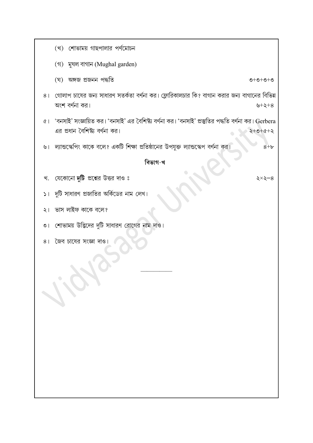- (খ) শোভাময় গাছপালার পর্ণমোচন
- (গ) মুঘল বাগান (Mughal garden)
- (ঘ) অঙ্গজ প্ৰজনন পদ্ধতি
- $O + O + O + O$
- ৪। গোলাপ চাষের জন্য সাধারণ সতর্কতা বর্ণনা কর। ফ্লোরিকালচার কি? বাগান করার জন্য বাগানের বিভিন্ন অংশ বর্ণনা কর। ৬+২+৪
- ৫। 'বনসাই' সংজ্ঞায়িত কর। 'বনসাই' এর বৈশিষ্ট্য বর্ণনা কর। 'বনসাই' প্রস্তুতির পদ্ধতি বর্ণনা কর। Gerbera এর প্রধান বৈশিষ্ট্য বর্ণনা কর।  $2+0+0+2$
- ৬। ল্যান্ডস্কেপিং কাকে বলে? একটি শিক্ষা প্রতিষ্ঠানের উপযুক্ত ল্যান্ডস্কেপ বর্ণনা কর।  $8+b$

#### বিভাগ-খ

খ. যেকোনো দুটি প্রশ্নের উত্তর দাও ঃ

২ $\times$ ২ $=$ ৪

- ১। দুটি সাধারণ প্রজাতির অর্কিডের নাম লেখ।
- ২। ভাস লাইফ কাকে বলে?
- ৩। শোভাময় উদ্ভিদের দুটি সাধারণ রোগের নাম দাও।
- 8। জৈব চাষের সংজ্ঞা দাও।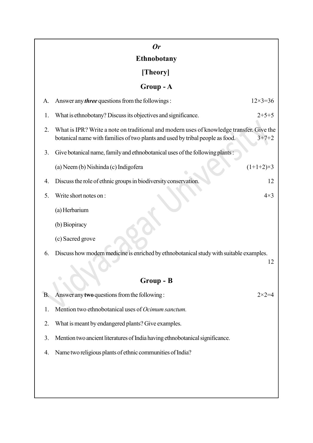|    | $\mathbf{0}$ r                                                                                                                                                            |                    |
|----|---------------------------------------------------------------------------------------------------------------------------------------------------------------------------|--------------------|
|    | <b>Ethnobotany</b>                                                                                                                                                        |                    |
|    | [Theory]                                                                                                                                                                  |                    |
|    | Group-A                                                                                                                                                                   |                    |
| A. | Answer any <i>three</i> questions from the followings:                                                                                                                    | $12 \times 3 = 36$ |
| 1. | What is ethnobotany? Discuss its objectives and significance.                                                                                                             | $2+5+5$            |
| 2. | What is IPR? Write a note on traditional and modern uses of knowledge transfer. Give the<br>botanical name with families of two plants and used by tribal people as food. | $3+7+2$            |
| 3. | Give botanical name, family and ethnobotanical uses of the following plants:                                                                                              |                    |
|    | (a) Neem (b) Nishinda (c) Indigofera                                                                                                                                      | $(1+1+2)\times 3$  |
| 4. | Discuss the role of ethnic groups in biodiversity conservation.                                                                                                           | 12                 |
| 5. | Write short notes on:                                                                                                                                                     | $4\times3$         |
|    | (a) Herbarium                                                                                                                                                             |                    |
|    | (b) Biopiracy                                                                                                                                                             |                    |
|    | (c) Sacred grove                                                                                                                                                          |                    |
| 6. | Discuss how modern medicine is enriched by ethnobotanical study with suitable examples.                                                                                   | 12                 |
|    |                                                                                                                                                                           |                    |
|    | Group - B                                                                                                                                                                 |                    |
| B. | Answer any two questions from the following:                                                                                                                              | $2 \times 2 = 4$   |
| 1. | Mention two ethnobotanical uses of <i>Ocimum sanctum</i> .                                                                                                                |                    |
| 2. | What is meant by endangered plants? Give examples.                                                                                                                        |                    |
| 3. | Mention two ancient literatures of India having ethnobotanical significance.                                                                                              |                    |
| 4. | Name two religious plants of ethnic communities of India?                                                                                                                 |                    |
|    |                                                                                                                                                                           |                    |
|    |                                                                                                                                                                           |                    |